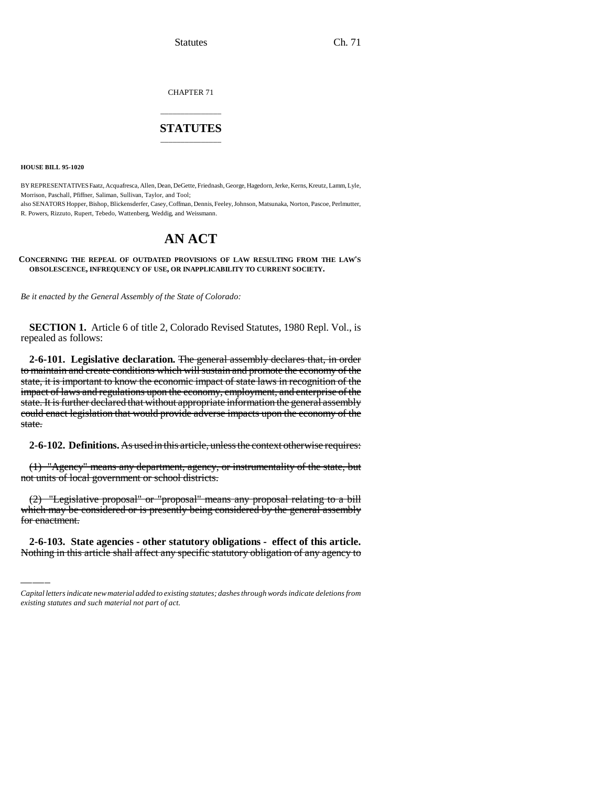CHAPTER 71

# \_\_\_\_\_\_\_\_\_\_\_\_\_\_\_ **STATUTES** \_\_\_\_\_\_\_\_\_\_\_\_\_\_\_

**HOUSE BILL 95-1020**

BY REPRESENTATIVES Faatz, Acquafresca, Allen, Dean, DeGette, Friednash, George, Hagedorn, Jerke, Kerns, Kreutz, Lamm, Lyle, Morrison, Paschall, Pfiffner, Saliman, Sullivan, Taylor, and Tool; also SENATORS Hopper, Bishop, Blickensderfer, Casey, Coffman, Dennis, Feeley, Johnson, Matsunaka, Norton, Pascoe, Perlmutter, R. Powers, Rizzuto, Rupert, Tebedo, Wattenberg, Weddig, and Weissmann.

# **AN ACT**

**CONCERNING THE REPEAL OF OUTDATED PROVISIONS OF LAW RESULTING FROM THE LAW'S OBSOLESCENCE, INFREQUENCY OF USE, OR INAPPLICABILITY TO CURRENT SOCIETY.**

*Be it enacted by the General Assembly of the State of Colorado:*

**SECTION 1.** Article 6 of title 2, Colorado Revised Statutes, 1980 Repl. Vol., is repealed as follows:

**2-6-101. Legislative declaration.** The general assembly declares that, in order to maintain and create conditions which will sustain and promote the economy of the state, it is important to know the economic impact of state laws in recognition of the impact of laws and regulations upon the economy, employment, and enterprise of the state. It is further declared that without appropriate information the general assembly could enact legislation that would provide adverse impacts upon the economy of the state.

**2-6-102. Definitions.** As used in this article, unless the context otherwise requires:

(1) "Agency" means any department, agency, or instrumentality of the state, but not units of local government or school districts.

which may be considered or is presently being considered by the general assembly (2) "Legislative proposal" or "proposal" means any proposal relating to a bill for enactment.

**2-6-103. State agencies - other statutory obligations - effect of this article.** Nothing in this article shall affect any specific statutory obligation of any agency to

*Capital letters indicate new material added to existing statutes; dashes through words indicate deletions from existing statutes and such material not part of act.*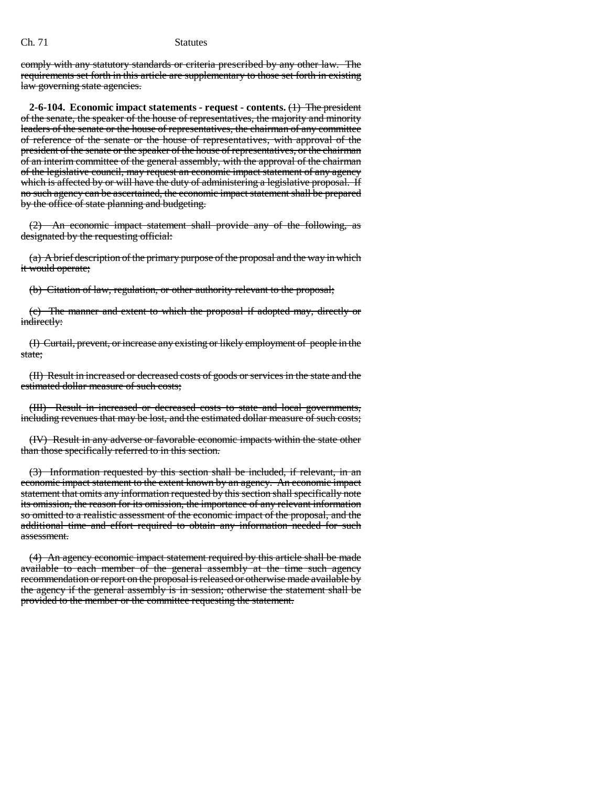comply with any statutory standards or criteria prescribed by any other law. The requirements set forth in this article are supplementary to those set forth in existing law governing state agencies.

**2-6-104. Economic impact statements - request - contents.** (1) The president of the senate, the speaker of the house of representatives, the majority and minority leaders of the senate or the house of representatives, the chairman of any committee of reference of the senate or the house of representatives, with approval of the president of the senate or the speaker of the house of representatives, or the chairman of an interim committee of the general assembly, with the approval of the chairman of the legislative council, may request an economic impact statement of any agency which is affected by or will have the duty of administering a legislative proposal. If no such agency can be ascertained, the economic impact statement shall be prepared by the office of state planning and budgeting.

(2) An economic impact statement shall provide any of the following, as designated by the requesting official:

(a) A brief description of the primary purpose of the proposal and the way in which it would operate;

(b) Citation of law, regulation, or other authority relevant to the proposal;

(c) The manner and extent to which the proposal if adopted may, directly or indirectly:

(I) Curtail, prevent, or increase any existing or likely employment of people in the state;

(II) Result in increased or decreased costs of goods or services in the state and the estimated dollar measure of such costs;

(III) Result in increased or decreased costs to state and local governments, including revenues that may be lost, and the estimated dollar measure of such costs;

(IV) Result in any adverse or favorable economic impacts within the state other than those specifically referred to in this section.

(3) Information requested by this section shall be included, if relevant, in an economic impact statement to the extent known by an agency. An economic impact statement that omits any information requested by this section shall specifically note its omission, the reason for its omission, the importance of any relevant information so omitted to a realistic assessment of the economic impact of the proposal, and the additional time and effort required to obtain any information needed for such assessment.

(4) An agency economic impact statement required by this article shall be made available to each member of the general assembly at the time such agency recommendation or report on the proposal is released or otherwise made available by the agency if the general assembly is in session; otherwise the statement shall be provided to the member or the committee requesting the statement.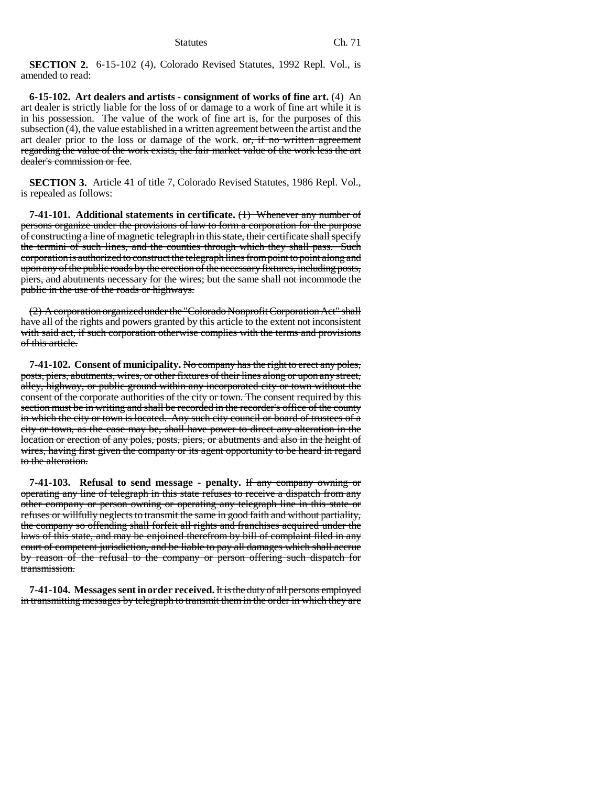**SECTION 2.** 6-15-102 (4), Colorado Revised Statutes, 1992 Repl. Vol., is amended to read:

**6-15-102. Art dealers and artists - consignment of works of fine art.** (4) An art dealer is strictly liable for the loss of or damage to a work of fine art while it is in his possession. The value of the work of fine art is, for the purposes of this subsection (4), the value established in a written agreement between the artist and the art dealer prior to the loss or damage of the work.  $\sigma$ , if no written agreement regarding the value of the work exists, the fair market value of the work less the art dealer's commission or fee.

**SECTION 3.** Article 41 of title 7, Colorado Revised Statutes, 1986 Repl. Vol., is repealed as follows:

**7-41-101. Additional statements in certificate.** (1) Whenever any number of persons organize under the provisions of law to form a corporation for the purpose of constructing a line of magnetic telegraph in this state, their certificate shall specify the termini of such lines, and the counties through which they shall pass. Such corporation is authorized to construct the telegraph lines from point to point along and upon any of the public roads by the erection of the necessary fixtures, including posts, piers, and abutments necessary for the wires; but the same shall not incommode the public in the use of the roads or highways.

(2) A corporation organized under the "Colorado Nonprofit Corporation Act" shall have all of the rights and powers granted by this article to the extent not inconsistent with said act, if such corporation otherwise complies with the terms and provisions of this article.

**7-41-102. Consent of municipality.** No company has the right to erect any poles, posts, piers, abutments, wires, or other fixtures of their lines along or upon any street, alley, highway, or public ground within any incorporated city or town without the consent of the corporate authorities of the city or town. The consent required by this section must be in writing and shall be recorded in the recorder's office of the county in which the city or town is located. Any such city council or board of trustees of a city or town, as the case may be, shall have power to direct any alteration in the location or erection of any poles, posts, piers, or abutments and also in the height of wires, having first given the company or its agent opportunity to be heard in regard to the alteration.

**7-41-103. Refusal to send message - penalty.** If any company owning or operating any line of telegraph in this state refuses to receive a dispatch from any other company or person owning or operating any telegraph line in this state or refuses or willfully neglects to transmit the same in good faith and without partiality, the company so offending shall forfeit all rights and franchises acquired under the laws of this state, and may be enjoined therefrom by bill of complaint filed in any court of competent jurisdiction, and be liable to pay all damages which shall accrue by reason of the refusal to the company or person offering such dispatch for transmission.

**7-41-104. Messages sent in order received.** It is the duty of all persons employed in transmitting messages by telegraph to transmit them in the order in which they are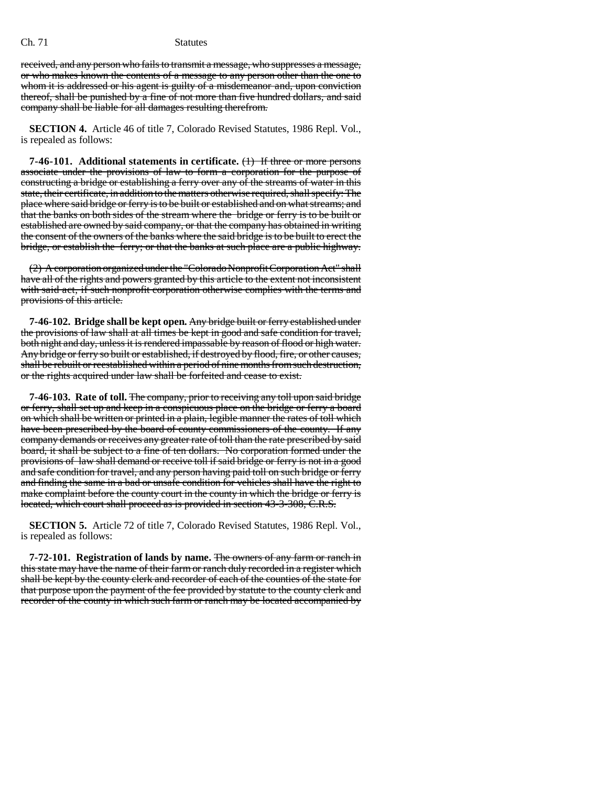received, and any person who fails to transmit a message, who suppresses a message, or who makes known the contents of a message to any person other than the one to whom it is addressed or his agent is guilty of a misdemeanor and, upon conviction thereof, shall be punished by a fine of not more than five hundred dollars, and said company shall be liable for all damages resulting therefrom.

**SECTION 4.** Article 46 of title 7, Colorado Revised Statutes, 1986 Repl. Vol., is repealed as follows:

**7-46-101. Additional statements in certificate.** (1) If three or more persons associate under the provisions of law to form a corporation for the purpose of constructing a bridge or establishing a ferry over any of the streams of water in this state, their certificate, in addition to the matters otherwise required, shall specify: The place where said bridge or ferry is to be built or established and on what streams; and that the banks on both sides of the stream where the bridge or ferry is to be built or established are owned by said company, or that the company has obtained in writing the consent of the owners of the banks where the said bridge is to be built to erect the bridge, or establish the ferry; or that the banks at such place are a public highway.

(2) A corporation organized under the "Colorado Nonprofit Corporation Act" shall have all of the rights and powers granted by this article to the extent not inconsistent with said act, if such nonprofit corporation otherwise complies with the terms and provisions of this article.

**7-46-102. Bridge shall be kept open.** Any bridge built or ferry established under the provisions of law shall at all times be kept in good and safe condition for travel, both night and day, unless it is rendered impassable by reason of flood or high water. Any bridge or ferry so built or established, if destroyed by flood, fire, or other causes, shall be rebuilt or reestablished within a period of nine months from such destruction, or the rights acquired under law shall be forfeited and cease to exist.

**7-46-103. Rate of toll.** The company, prior to receiving any toll upon said bridge or ferry, shall set up and keep in a conspicuous place on the bridge or ferry a board on which shall be written or printed in a plain, legible manner the rates of toll which have been prescribed by the board of county commissioners of the county. If any company demands or receives any greater rate of toll than the rate prescribed by said board, it shall be subject to a fine of ten dollars. No corporation formed under the provisions of law shall demand or receive toll if said bridge or ferry is not in a good and safe condition for travel, and any person having paid toll on such bridge or ferry and finding the same in a bad or unsafe condition for vehicles shall have the right to make complaint before the county court in the county in which the bridge or ferry is located, which court shall proceed as is provided in section 43-3-308, C.R.S.

**SECTION 5.** Article 72 of title 7, Colorado Revised Statutes, 1986 Repl. Vol., is repealed as follows:

**7-72-101. Registration of lands by name.** The owners of any farm or ranch in this state may have the name of their farm or ranch duly recorded in a register which shall be kept by the county clerk and recorder of each of the counties of the state for that purpose upon the payment of the fee provided by statute to the county clerk and recorder of the county in which such farm or ranch may be located accompanied by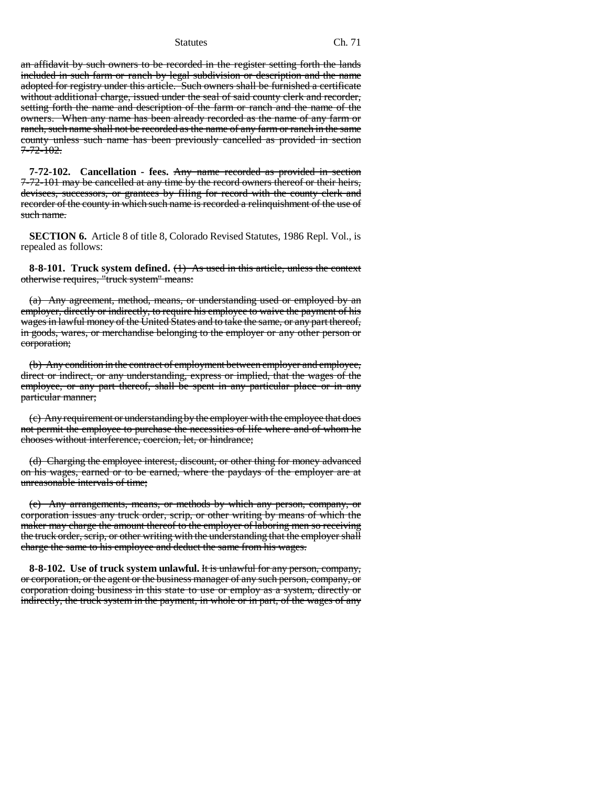an affidavit by such owners to be recorded in the register setting forth the lands included in such farm or ranch by legal subdivision or description and the name adopted for registry under this article. Such owners shall be furnished a certificate without additional charge, issued under the seal of said county clerk and recorder, setting forth the name and description of the farm or ranch and the name of the owners. When any name has been already recorded as the name of any farm or ranch, such name shall not be recorded as the name of any farm or ranch in the same county unless such name has been previously cancelled as provided in section 7-72-102.

**7-72-102. Cancellation - fees.** Any name recorded as provided in section 7-72-101 may be cancelled at any time by the record owners thereof or their heirs, devisees, successors, or grantees by filing for record with the county clerk and recorder of the county in which such name is recorded a relinquishment of the use of such name.

**SECTION 6.** Article 8 of title 8, Colorado Revised Statutes, 1986 Repl. Vol., is repealed as follows:

**8-8-101. Truck system defined.** (1) As used in this article, unless the context otherwise requires, "truck system" means:

(a) Any agreement, method, means, or understanding used or employed by an employer, directly or indirectly, to require his employee to waive the payment of his wages in lawful money of the United States and to take the same, or any part thereof, in goods, wares, or merchandise belonging to the employer or any other person or corporation;

(b) Any condition in the contract of employment between employer and employee, direct or indirect, or any understanding, express or implied, that the wages of the employee, or any part thereof, shall be spent in any particular place or in any particular manner;

(c) Any requirement or understanding by the employer with the employee that does not permit the employee to purchase the necessities of life where and of whom he chooses without interference, coercion, let, or hindrance;

(d) Charging the employee interest, discount, or other thing for money advanced on his wages, earned or to be earned, where the paydays of the employer are at unreasonable intervals of time;

(e) Any arrangements, means, or methods by which any person, company, or corporation issues any truck order, scrip, or other writing by means of which the maker may charge the amount thereof to the employer of laboring men so receiving the truck order, scrip, or other writing with the understanding that the employer shall charge the same to his employee and deduct the same from his wages.

**8-8-102. Use of truck system unlawful.** It is unlawful for any person, company, or corporation, or the agent or the business manager of any such person, company, or corporation doing business in this state to use or employ as a system, directly or indirectly, the truck system in the payment, in whole or in part, of the wages of any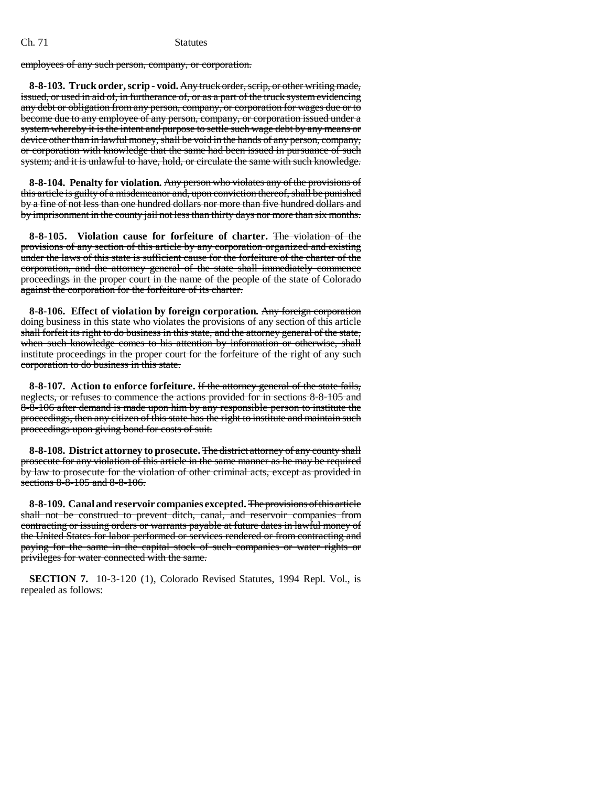employees of any such person, company, or corporation.

**8-8-103. Truck order, scrip - void.** Any truck order, scrip, or other writing made, issued, or used in aid of, in furtherance of, or as a part of the truck system evidencing any debt or obligation from any person, company, or corporation for wages due or to become due to any employee of any person, company, or corporation issued under a system whereby it is the intent and purpose to settle such wage debt by any means or device other than in lawful money, shall be void in the hands of any person, company, or corporation with knowledge that the same had been issued in pursuance of such system; and it is unlawful to have, hold, or circulate the same with such knowledge.

**8-8-104. Penalty for violation.** Any person who violates any of the provisions of this article is guilty of a misdemeanor and, upon conviction thereof, shall be punished by a fine of not less than one hundred dollars nor more than five hundred dollars and by imprisonment in the county jail not less than thirty days nor more than six months.

**8-8-105. Violation cause for forfeiture of charter.** The violation of the provisions of any section of this article by any corporation organized and existing under the laws of this state is sufficient cause for the forfeiture of the charter of the corporation, and the attorney general of the state shall immediately commence proceedings in the proper court in the name of the people of the state of Colorado against the corporation for the forfeiture of its charter.

**8-8-106. Effect of violation by foreign corporation.** Any foreign corporation doing business in this state who violates the provisions of any section of this article shall forfeit its right to do business in this state, and the attorney general of the state, when such knowledge comes to his attention by information or otherwise, shall institute proceedings in the proper court for the forfeiture of the right of any such corporation to do business in this state.

**8-8-107. Action to enforce forfeiture.** If the attorney general of the state fails, neglects, or refuses to commence the actions provided for in sections 8-8-105 and 8-8-106 after demand is made upon him by any responsible person to institute the proceedings, then any citizen of this state has the right to institute and maintain such proceedings upon giving bond for costs of suit.

**8-8-108. District attorney to prosecute.** The district attorney of any county shall prosecute for any violation of this article in the same manner as he may be required by law to prosecute for the violation of other criminal acts, except as provided in sections 8-8-105 and 8-8-106.

**8-8-109. Canal and reservoir companies excepted.** The provisions of this article shall not be construed to prevent ditch, canal, and reservoir companies from contracting or issuing orders or warrants payable at future dates in lawful money of the United States for labor performed or services rendered or from contracting and paying for the same in the capital stock of such companies or water rights or privileges for water connected with the same.

**SECTION 7.** 10-3-120 (1), Colorado Revised Statutes, 1994 Repl. Vol., is repealed as follows: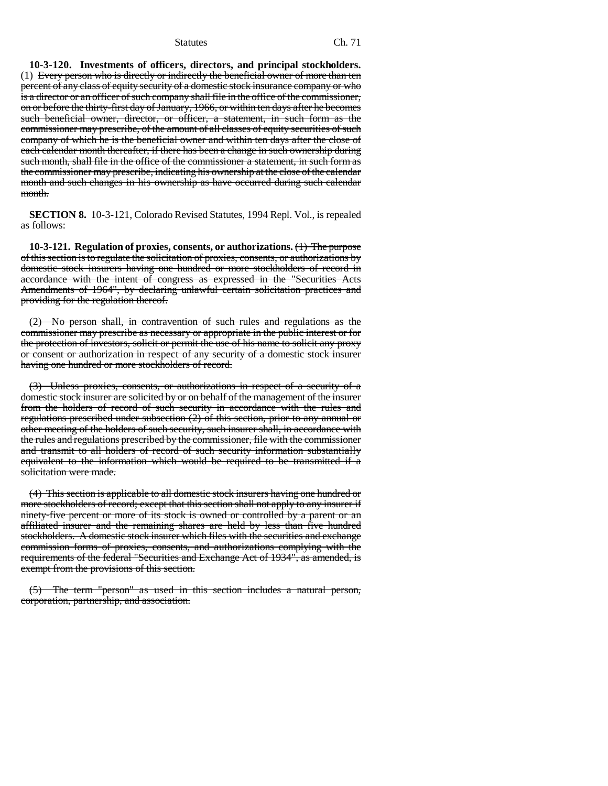**10-3-120. Investments of officers, directors, and principal stockholders.** (1) Every person who is directly or indirectly the beneficial owner of more than ten percent of any class of equity security of a domestic stock insurance company or who is a director or an officer of such company shall file in the office of the commissioner, on or before the thirty-first day of January, 1966, or within ten days after he becomes such beneficial owner, director, or officer, a statement, in such form as the commissioner may prescribe, of the amount of all classes of equity securities of such company of which he is the beneficial owner and within ten days after the close of each calendar month thereafter, if there has been a change in such ownership during such month, shall file in the office of the commissioner a statement, in such form as the commissioner may prescribe, indicating his ownership at the close of the calendar month and such changes in his ownership as have occurred during such calendar month.

**SECTION 8.** 10-3-121, Colorado Revised Statutes, 1994 Repl. Vol., is repealed as follows:

**10-3-121. Regulation of proxies, consents, or authorizations.** (1) The purpose of this section is to regulate the solicitation of proxies, consents, or authorizations by domestic stock insurers having one hundred or more stockholders of record in accordance with the intent of congress as expressed in the "Securities Acts Amendments of 1964", by declaring unlawful certain solicitation practices and providing for the regulation thereof.

(2) No person shall, in contravention of such rules and regulations as the commissioner may prescribe as necessary or appropriate in the public interest or for the protection of investors, solicit or permit the use of his name to solicit any proxy or consent or authorization in respect of any security of a domestic stock insurer having one hundred or more stockholders of record.

(3) Unless proxies, consents, or authorizations in respect of a security of a domestic stock insurer are solicited by or on behalf of the management of the insurer from the holders of record of such security in accordance with the rules and regulations prescribed under subsection (2) of this section, prior to any annual or other meeting of the holders of such security, such insurer shall, in accordance with the rules and regulations prescribed by the commissioner, file with the commissioner and transmit to all holders of record of such security information substantially equivalent to the information which would be required to be transmitted if a solicitation were made.

(4) This section is applicable to all domestic stock insurers having one hundred or more stockholders of record; except that this section shall not apply to any insurer if ninety-five percent or more of its stock is owned or controlled by a parent or an affiliated insurer and the remaining shares are held by less than five hundred stockholders. A domestic stock insurer which files with the securities and exchange commission forms of proxies, consents, and authorizations complying with the requirements of the federal "Securities and Exchange Act of 1934", as amended, is exempt from the provisions of this section.

(5) The term "person" as used in this section includes a natural person, corporation, partnership, and association.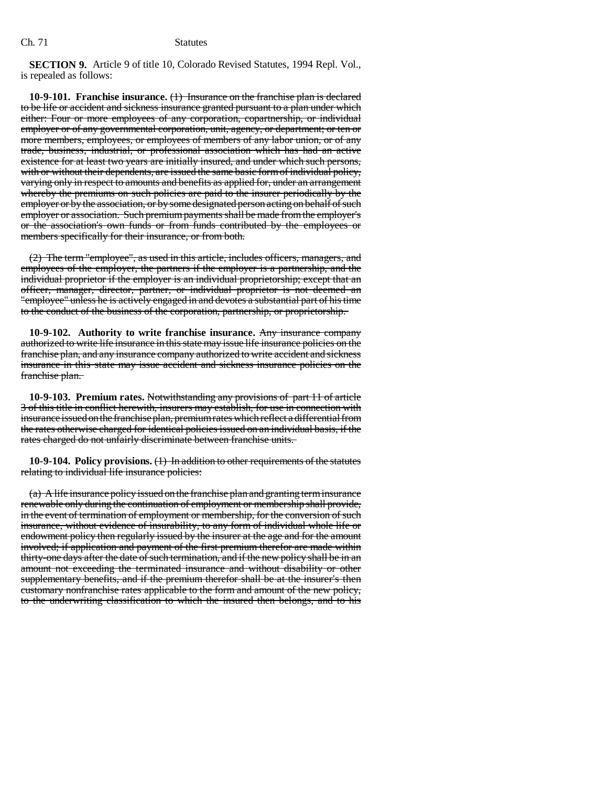**SECTION 9.** Article 9 of title 10, Colorado Revised Statutes, 1994 Repl. Vol., is repealed as follows:

**10-9-101. Franchise insurance.** (1) Insurance on the franchise plan is declared to be life or accident and sickness insurance granted pursuant to a plan under which either: Four or more employees of any corporation, copartnership, or individual employer or of any governmental corporation, unit, agency, or department; or ten or more members, employees, or employees of members of any labor union, or of any trade, business, industrial, or professional association which has had an active existence for at least two years are initially insured, and under which such persons, with or without their dependents, are issued the same basic form of individual policy, varying only in respect to amounts and benefits as applied for, under an arrangement whereby the premiums on such policies are paid to the insurer periodically by the employer or by the association, or by some designated person acting on behalf of such employer or association. Such premium payments shall be made from the employer's or the association's own funds or from funds contributed by the employees or members specifically for their insurance, or from both.

(2) The term "employee", as used in this article, includes officers, managers, and employees of the employer, the partners if the employer is a partnership, and the individual proprietor if the employer is an individual proprietorship; except that an officer, manager, director, partner, or individual proprietor is not deemed an "employee" unless he is actively engaged in and devotes a substantial part of his time to the conduct of the business of the corporation, partnership, or proprietorship.

**10-9-102. Authority to write franchise insurance.** Any insurance company authorized to write life insurance in this state may issue life insurance policies on the franchise plan, and any insurance company authorized to write accident and sickness insurance in this state may issue accident and sickness insurance policies on the franchise plan.

**10-9-103. Premium rates.** Notwithstanding any provisions of part 11 of article 3 of this title in conflict herewith, insurers may establish, for use in connection with insurance issued on the franchise plan, premium rates which reflect a differential from the rates otherwise charged for identical policies issued on an individual basis, if the rates charged do not unfairly discriminate between franchise units.

**10-9-104. Policy provisions.** (1) In addition to other requirements of the statutes relating to individual life insurance policies:

(a) A life insurance policy issued on the franchise plan and granting term insurance renewable only during the continuation of employment or membership shall provide, in the event of termination of employment or membership, for the conversion of such insurance, without evidence of insurability, to any form of individual whole life or endowment policy then regularly issued by the insurer at the age and for the amount involved; if application and payment of the first premium therefor are made within thirty-one days after the date of such termination, and if the new policy shall be in an amount not exceeding the terminated insurance and without disability or other supplementary benefits, and if the premium therefor shall be at the insurer's then customary nonfranchise rates applicable to the form and amount of the new policy, to the underwriting classification to which the insured then belongs, and to his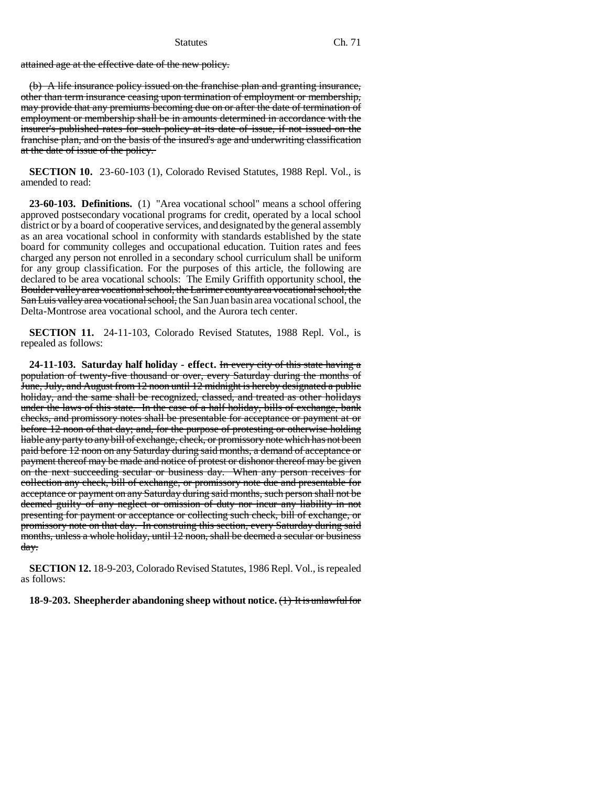attained age at the effective date of the new policy.

(b) A life insurance policy issued on the franchise plan and granting insurance, other than term insurance ceasing upon termination of employment or membership, may provide that any premiums becoming due on or after the date of termination of employment or membership shall be in amounts determined in accordance with the insurer's published rates for such policy at its date of issue, if not issued on the franchise plan, and on the basis of the insured's age and underwriting classification at the date of issue of the policy.

**SECTION 10.** 23-60-103 (1), Colorado Revised Statutes, 1988 Repl. Vol., is amended to read:

**23-60-103. Definitions.** (1) "Area vocational school" means a school offering approved postsecondary vocational programs for credit, operated by a local school district or by a board of cooperative services, and designated by the general assembly as an area vocational school in conformity with standards established by the state board for community colleges and occupational education. Tuition rates and fees charged any person not enrolled in a secondary school curriculum shall be uniform for any group classification. For the purposes of this article, the following are declared to be area vocational schools: The Emily Griffith opportunity school, the Boulder valley area vocational school, the Larimer county area vocational school, the San Luis valley area vocational school, the San Juan basin area vocational school, the Delta-Montrose area vocational school, and the Aurora tech center.

**SECTION 11.** 24-11-103, Colorado Revised Statutes, 1988 Repl. Vol., is repealed as follows:

**24-11-103. Saturday half holiday - effect.** In every city of this state having a population of twenty-five thousand or over, every Saturday during the months of June, July, and August from 12 noon until 12 midnight is hereby designated a public holiday, and the same shall be recognized, classed, and treated as other holidays under the laws of this state. In the case of a half holiday, bills of exchange, bank checks, and promissory notes shall be presentable for acceptance or payment at or before 12 noon of that day; and, for the purpose of protesting or otherwise holding liable any party to any bill of exchange, check, or promissory note which has not been paid before 12 noon on any Saturday during said months, a demand of acceptance or payment thereof may be made and notice of protest or dishonor thereof may be given on the next succeeding secular or business day. When any person receives for collection any check, bill of exchange, or promissory note due and presentable for acceptance or payment on any Saturday during said months, such person shall not be deemed guilty of any neglect or omission of duty nor incur any liability in not presenting for payment or acceptance or collecting such check, bill of exchange, or promissory note on that day. In construing this section, every Saturday during said months, unless a whole holiday, until 12 noon, shall be deemed a secular or business day.

**SECTION 12.** 18-9-203, Colorado Revised Statutes, 1986 Repl. Vol., is repealed as follows:

**18-9-203. Sheepherder abandoning sheep without notice.** (1) It is unlawful for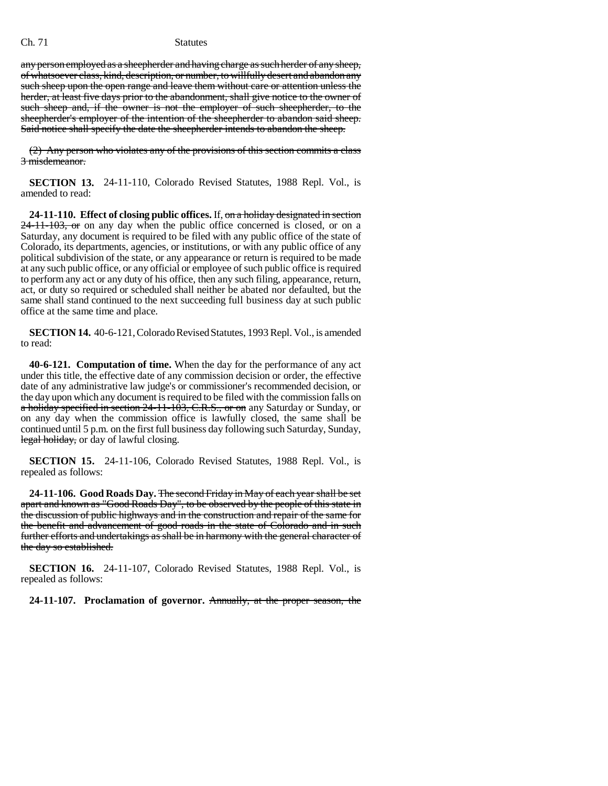any person employed as a sheepherder and having charge as such herder of any sheep, of whatsoever class, kind, description, or number, to willfully desert and abandon any such sheep upon the open range and leave them without care or attention unless the herder, at least five days prior to the abandonment, shall give notice to the owner of such sheep and, if the owner is not the employer of such sheepherder, to the sheepherder's employer of the intention of the sheepherder to abandon said sheep. Said notice shall specify the date the sheepherder intends to abandon the sheep.

(2) Any person who violates any of the provisions of this section commits a class 3 misdemeanor.

**SECTION 13.** 24-11-110, Colorado Revised Statutes, 1988 Repl. Vol., is amended to read:

**24-11-110. Effect of closing public offices.** If, on a holiday designated in section  $24-11-103$ , or on any day when the public office concerned is closed, or on a Saturday, any document is required to be filed with any public office of the state of Colorado, its departments, agencies, or institutions, or with any public office of any political subdivision of the state, or any appearance or return is required to be made at any such public office, or any official or employee of such public office is required to perform any act or any duty of his office, then any such filing, appearance, return, act, or duty so required or scheduled shall neither be abated nor defaulted, but the same shall stand continued to the next succeeding full business day at such public office at the same time and place.

**SECTION 14.** 40-6-121, Colorado Revised Statutes, 1993 Repl. Vol., is amended to read:

**40-6-121. Computation of time.** When the day for the performance of any act under this title, the effective date of any commission decision or order, the effective date of any administrative law judge's or commissioner's recommended decision, or the day upon which any document is required to be filed with the commission falls on a holiday specified in section 24-11-103, C.R.S., or on any Saturday or Sunday, or on any day when the commission office is lawfully closed, the same shall be continued until 5 p.m. on the first full business day following such Saturday, Sunday, legal holiday, or day of lawful closing.

**SECTION 15.** 24-11-106, Colorado Revised Statutes, 1988 Repl. Vol., is repealed as follows:

**24-11-106. Good Roads Day.** The second Friday in May of each year shall be set apart and known as "Good Roads Day", to be observed by the people of this state in the discussion of public highways and in the construction and repair of the same for the benefit and advancement of good roads in the state of Colorado and in such further efforts and undertakings as shall be in harmony with the general character of the day so established.

**SECTION 16.** 24-11-107, Colorado Revised Statutes, 1988 Repl. Vol., is repealed as follows:

**24-11-107. Proclamation of governor.** Annually, at the proper season, the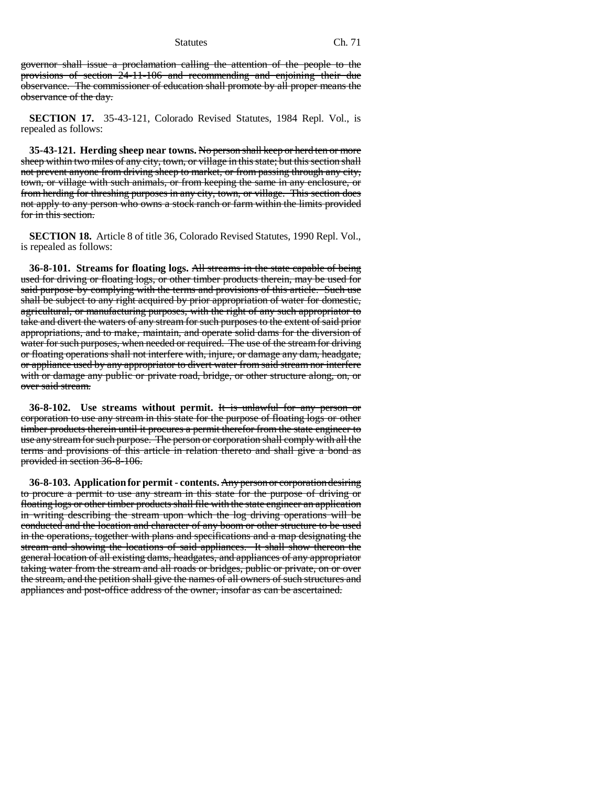governor shall issue a proclamation calling the attention of the people to the provisions of section 24-11-106 and recommending and enjoining their due observance. The commissioner of education shall promote by all proper means the observance of the day.

**SECTION 17.** 35-43-121, Colorado Revised Statutes, 1984 Repl. Vol., is repealed as follows:

**35-43-121. Herding sheep near towns.** No person shall keep or herd ten or more sheep within two miles of any city, town, or village in this state; but this section shall not prevent anyone from driving sheep to market, or from passing through any city, town, or village with such animals, or from keeping the same in any enclosure, or from herding for threshing purposes in any city, town, or village. This section does not apply to any person who owns a stock ranch or farm within the limits provided for in this section.

**SECTION 18.** Article 8 of title 36, Colorado Revised Statutes, 1990 Repl. Vol., is repealed as follows:

**36-8-101. Streams for floating logs.** All streams in the state capable of being used for driving or floating logs, or other timber products therein, may be used for said purpose by complying with the terms and provisions of this article. Such use shall be subject to any right acquired by prior appropriation of water for domestic, agricultural, or manufacturing purposes, with the right of any such appropriator to take and divert the waters of any stream for such purposes to the extent of said prior appropriations, and to make, maintain, and operate solid dams for the diversion of water for such purposes, when needed or required. The use of the stream for driving or floating operations shall not interfere with, injure, or damage any dam, headgate, or appliance used by any appropriator to divert water from said stream nor interfere with or damage any public or private road, bridge, or other structure along, on, or over said stream.

**36-8-102. Use streams without permit.** It is unlawful for any person or corporation to use any stream in this state for the purpose of floating logs or other timber products therein until it procures a permit therefor from the state engineer to use any stream for such purpose. The person or corporation shall comply with all the terms and provisions of this article in relation thereto and shall give a bond as provided in section 36-8-106.

**36-8-103. Application for permit - contents.** Any person or corporation desiring to procure a permit to use any stream in this state for the purpose of driving or floating logs or other timber products shall file with the state engineer an application in writing describing the stream upon which the log driving operations will be conducted and the location and character of any boom or other structure to be used in the operations, together with plans and specifications and a map designating the stream and showing the locations of said appliances. It shall show thereon the general location of all existing dams, headgates, and appliances of any appropriator taking water from the stream and all roads or bridges, public or private, on or over the stream, and the petition shall give the names of all owners of such structures and appliances and post-office address of the owner, insofar as can be ascertained.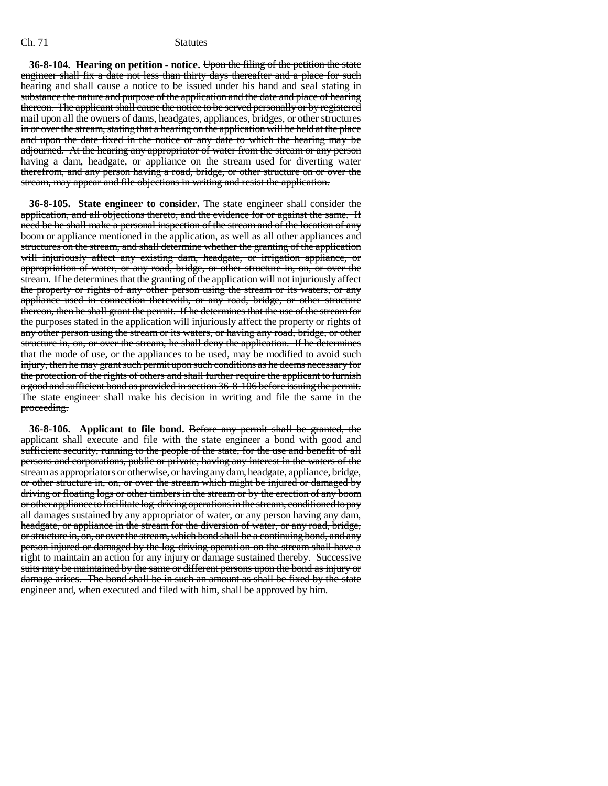**36-8-104. Hearing on petition - notice.** Upon the filing of the petition the state engineer shall fix a date not less than thirty days thereafter and a place for such hearing and shall cause a notice to be issued under his hand and seal stating in substance the nature and purpose of the application and the date and place of hearing thereon. The applicant shall cause the notice to be served personally or by registered mail upon all the owners of dams, headgates, appliances, bridges, or other structures in or over the stream, stating that a hearing on the application will be held at the place and upon the date fixed in the notice or any date to which the hearing may be adjourned. At the hearing any appropriator of water from the stream or any person having a dam, headgate, or appliance on the stream used for diverting water therefrom, and any person having a road, bridge, or other structure on or over the stream, may appear and file objections in writing and resist the application.

**36-8-105. State engineer to consider.** The state engineer shall consider the application, and all objections thereto, and the evidence for or against the same. If need be he shall make a personal inspection of the stream and of the location of any boom or appliance mentioned in the application, as well as all other appliances and structures on the stream, and shall determine whether the granting of the application will injuriously affect any existing dam, headgate, or irrigation appliance, or appropriation of water, or any road, bridge, or other structure in, on, or over the stream. If he determines that the granting of the application will not injuriously affect the property or rights of any other person using the stream or its waters, or any appliance used in connection therewith, or any road, bridge, or other structure thereon, then he shall grant the permit. If he determines that the use of the stream for the purposes stated in the application will injuriously affect the property or rights of any other person using the stream or its waters, or having any road, bridge, or other structure in, on, or over the stream, he shall deny the application. If he determines that the mode of use, or the appliances to be used, may be modified to avoid such injury, then he may grant such permit upon such conditions as he deems necessary for the protection of the rights of others and shall further require the applicant to furnish a good and sufficient bond as provided in section 36-8-106 before issuing the permit. The state engineer shall make his decision in writing and file the same in the proceeding.

**36-8-106. Applicant to file bond.** Before any permit shall be granted, the applicant shall execute and file with the state engineer a bond with good and sufficient security, running to the people of the state, for the use and benefit of all persons and corporations, public or private, having any interest in the waters of the stream as appropriators or otherwise, or having any dam, headgate, appliance, bridge, or other structure in, on, or over the stream which might be injured or damaged by driving or floating logs or other timbers in the stream or by the erection of any boom or other appliance to facilitate log-driving operations in the stream, conditioned to pay all damages sustained by any appropriator of water, or any person having any dam, headgate, or appliance in the stream for the diversion of water, or any road, bridge, or structure in, on, or over the stream, which bond shall be a continuing bond, and any person injured or damaged by the log-driving operation on the stream shall have a right to maintain an action for any injury or damage sustained thereby. Successive suits may be maintained by the same or different persons upon the bond as injury or damage arises. The bond shall be in such an amount as shall be fixed by the state engineer and, when executed and filed with him, shall be approved by him.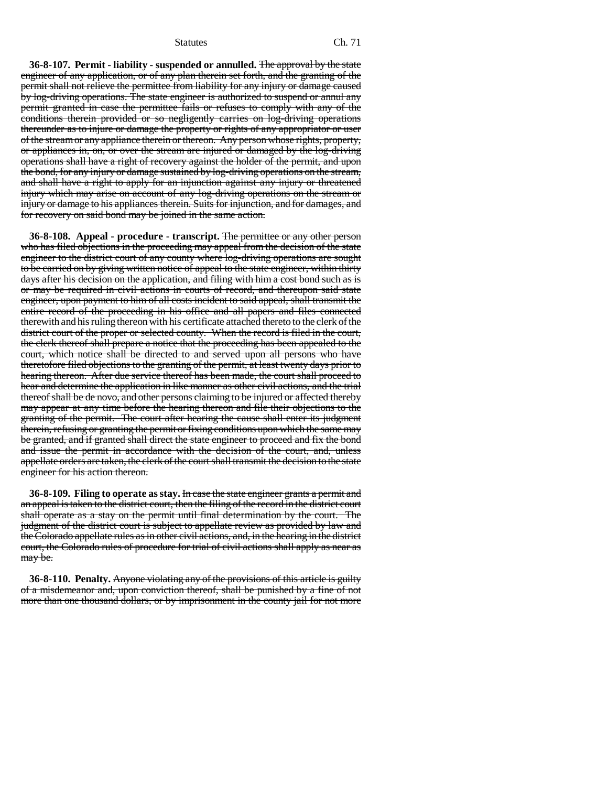**36-8-107. Permit - liability - suspended or annulled.** The approval by the state engineer of any application, or of any plan therein set forth, and the granting of the permit shall not relieve the permittee from liability for any injury or damage caused by log-driving operations. The state engineer is authorized to suspend or annul any permit granted in case the permittee fails or refuses to comply with any of the conditions therein provided or so negligently carries on log-driving operations thereunder as to injure or damage the property or rights of any appropriator or user of the stream or any appliance therein or thereon. Any person whose rights, property, or appliances in, on, or over the stream are injured or damaged by the log-driving operations shall have a right of recovery against the holder of the permit, and upon the bond, for any injury or damage sustained by log-driving operations on the stream, and shall have a right to apply for an injunction against any injury or threatened injury which may arise on account of any log-driving operations on the stream or injury or damage to his appliances therein. Suits for injunction, and for damages, and for recovery on said bond may be joined in the same action.

**36-8-108. Appeal - procedure - transcript.** The permittee or any other person who has filed objections in the proceeding may appeal from the decision of the state engineer to the district court of any county where log-driving operations are sought to be carried on by giving written notice of appeal to the state engineer, within thirty days after his decision on the application, and filing with him a cost bond such as is or may be required in civil actions in courts of record, and thereupon said state engineer, upon payment to him of all costs incident to said appeal, shall transmit the entire record of the proceeding in his office and all papers and files connected therewith and his ruling thereon with his certificate attached thereto to the clerk of the district court of the proper or selected county. When the record is filed in the court, the clerk thereof shall prepare a notice that the proceeding has been appealed to the court, which notice shall be directed to and served upon all persons who have theretofore filed objections to the granting of the permit, at least twenty days prior to hearing thereon. After due service thereof has been made, the court shall proceed to hear and determine the application in like manner as other civil actions, and the trial thereof shall be de novo, and other persons claiming to be injured or affected thereby may appear at any time before the hearing thereon and file their objections to the granting of the permit. The court after hearing the cause shall enter its judgment therein, refusing or granting the permit or fixing conditions upon which the same may be granted, and if granted shall direct the state engineer to proceed and fix the bond and issue the permit in accordance with the decision of the court, and, unless appellate orders are taken, the clerk of the court shall transmit the decision to the state engineer for his action thereon.

**36-8-109. Filing to operate as stay.** In case the state engineer grants a permit and an appeal is taken to the district court, then the filing of the record in the district court shall operate as a stay on the permit until final determination by the court. The judgment of the district court is subject to appellate review as provided by law and the Colorado appellate rules as in other civil actions, and, in the hearing in the district court, the Colorado rules of procedure for trial of civil actions shall apply as near as may be.

**36-8-110. Penalty.** Anyone violating any of the provisions of this article is guilty of a misdemeanor and, upon conviction thereof, shall be punished by a fine of not more than one thousand dollars, or by imprisonment in the county jail for not more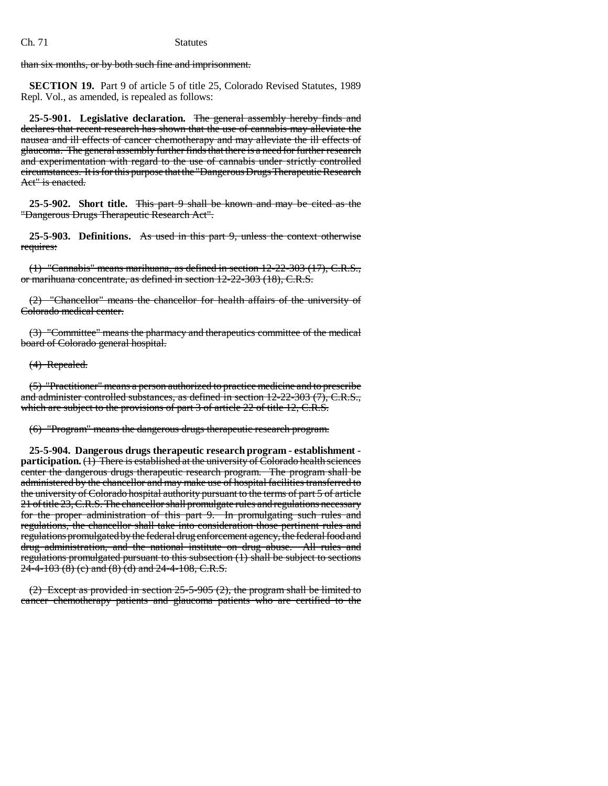than six months, or by both such fine and imprisonment.

**SECTION 19.** Part 9 of article 5 of title 25, Colorado Revised Statutes, 1989 Repl. Vol., as amended, is repealed as follows:

**25-5-901. Legislative declaration.** The general assembly hereby finds and declares that recent research has shown that the use of cannabis may alleviate the nausea and ill effects of cancer chemotherapy and may alleviate the ill effects of glaucoma. The general assembly further finds that there is a need for further research and experimentation with regard to the use of cannabis under strictly controlled circumstances. It is for this purpose that the "Dangerous Drugs Therapeutic Research Act" is enacted.

**25-5-902. Short title.** This part 9 shall be known and may be cited as the "Dangerous Drugs Therapeutic Research Act".

**25-5-903. Definitions.** As used in this part 9, unless the context otherwise requires:

(1) "Cannabis" means marihuana, as defined in section 12-22-303 (17), C.R.S., or marihuana concentrate, as defined in section 12-22-303 (18), C.R.S.

(2) "Chancellor" means the chancellor for health affairs of the university of Colorado medical center.

(3) "Committee" means the pharmacy and therapeutics committee of the medical board of Colorado general hospital.

(4) Repealed.

(5) "Practitioner" means a person authorized to practice medicine and to prescribe and administer controlled substances, as defined in section 12-22-303 (7), C.R.S., which are subject to the provisions of part 3 of article 22 of title 12, C.R.S.

(6) "Program" means the dangerous drugs therapeutic research program.

**25-5-904. Dangerous drugs therapeutic research program - establishment participation.** (1) There is established at the university of Colorado health sciences center the dangerous drugs therapeutic research program. The program shall be administered by the chancellor and may make use of hospital facilities transferred to the university of Colorado hospital authority pursuant to the terms of part 5 of article 21 of title 23, C.R.S. The chancellor shall promulgate rules and regulations necessary for the proper administration of this part 9. In promulgating such rules and regulations, the chancellor shall take into consideration those pertinent rules and regulations promulgated by the federal drug enforcement agency, the federal food and drug administration, and the national institute on drug abuse. All rules and regulations promulgated pursuant to this subsection (1) shall be subject to sections  $24-4-103$  (8) (c) and (8) (d) and  $24-4-108$ , C.R.S.

(2) Except as provided in section 25-5-905 (2), the program shall be limited to cancer chemotherapy patients and glaucoma patients who are certified to the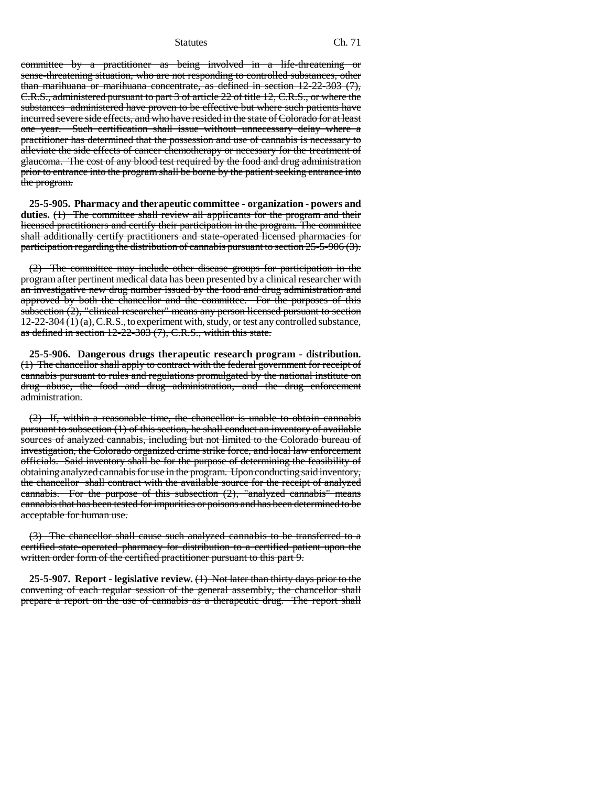committee by a practitioner as being involved in a life-threatening or sense-threatening situation, who are not responding to controlled substances, other than marihuana or marihuana concentrate, as defined in section 12-22-303 (7), C.R.S., administered pursuant to part 3 of article 22 of title 12, C.R.S., or where the substances administered have proven to be effective but where such patients have incurred severe side effects, and who have resided in the state of Colorado for at least one year. Such certification shall issue without unnecessary delay where a practitioner has determined that the possession and use of cannabis is necessary to alleviate the side effects of cancer chemotherapy or necessary for the treatment of glaucoma. The cost of any blood test required by the food and drug administration prior to entrance into the program shall be borne by the patient seeking entrance into the program.

**25-5-905. Pharmacy and therapeutic committee - organization - powers and duties.** (1) The committee shall review all applicants for the program and their licensed practitioners and certify their participation in the program. The committee shall additionally certify practitioners and state-operated licensed pharmacies for participation regarding the distribution of cannabis pursuant to section 25-5-906 (3).

(2) The committee may include other disease groups for participation in the program after pertinent medical data has been presented by a clinical researcher with an investigative new drug number issued by the food and drug administration and approved by both the chancellor and the committee. For the purposes of this subsection (2), "clinical researcher" means any person licensed pursuant to section  $12-22-304(1)(a)$ , C.R.S., to experiment with, study, or test any controlled substance, as defined in section 12-22-303 (7), C.R.S., within this state.

**25-5-906. Dangerous drugs therapeutic research program - distribution.** (1) The chancellor shall apply to contract with the federal government for receipt of cannabis pursuant to rules and regulations promulgated by the national institute on drug abuse, the food and drug administration, and the drug enforcement administration.

(2) If, within a reasonable time, the chancellor is unable to obtain cannabis pursuant to subsection (1) of this section, he shall conduct an inventory of available sources of analyzed cannabis, including but not limited to the Colorado bureau of investigation, the Colorado organized crime strike force, and local law enforcement officials. Said inventory shall be for the purpose of determining the feasibility of obtaining analyzed cannabis for use in the program. Upon conducting said inventory, the chancellor shall contract with the available source for the receipt of analyzed cannabis. For the purpose of this subsection  $(2)$ , "analyzed cannabis" means cannabis that has been tested for impurities or poisons and has been determined to be acceptable for human use.

(3) The chancellor shall cause such analyzed cannabis to be transferred to a certified state-operated pharmacy for distribution to a certified patient upon the written order form of the certified practitioner pursuant to this part 9.

**25-5-907. Report - legislative review.** (1) Not later than thirty days prior to the convening of each regular session of the general assembly, the chancellor shall prepare a report on the use of cannabis as a therapeutic drug. The report shall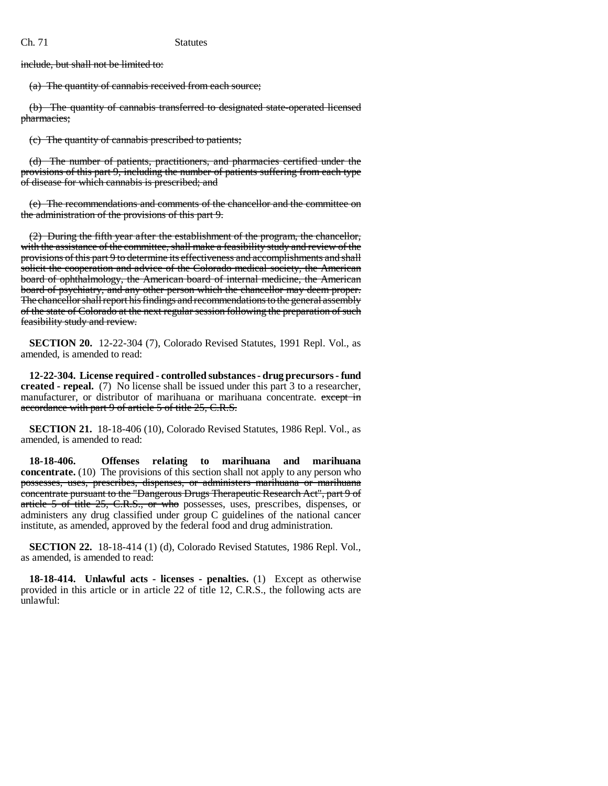include, but shall not be limited to:

(a) The quantity of cannabis received from each source;

(b) The quantity of cannabis transferred to designated state-operated licensed pharmacies;

(c) The quantity of cannabis prescribed to patients;

(d) The number of patients, practitioners, and pharmacies certified under the provisions of this part 9, including the number of patients suffering from each type of disease for which cannabis is prescribed; and

(e) The recommendations and comments of the chancellor and the committee on the administration of the provisions of this part 9.

(2) During the fifth year after the establishment of the program, the chancellor, with the assistance of the committee, shall make a feasibility study and review of the provisions of this part 9 to determine its effectiveness and accomplishments and shall solicit the cooperation and advice of the Colorado medical society, the American board of ophthalmology, the American board of internal medicine, the American board of psychiatry, and any other person which the chancellor may deem proper. The chancellor shall report his findings and recommendations to the general assembly of the state of Colorado at the next regular session following the preparation of such feasibility study and review.

**SECTION 20.** 12-22-304 (7), Colorado Revised Statutes, 1991 Repl. Vol., as amended, is amended to read:

**12-22-304. License required - controlled substances - drug precursors - fund created - repeal.** (7) No license shall be issued under this part 3 to a researcher, manufacturer, or distributor of marihuana or marihuana concentrate. except in accordance with part 9 of article 5 of title 25, C.R.S.

**SECTION 21.** 18-18-406 (10), Colorado Revised Statutes, 1986 Repl. Vol., as amended, is amended to read:

**18-18-406. Offenses relating to marihuana and marihuana concentrate.** (10) The provisions of this section shall not apply to any person who possesses, uses, prescribes, dispenses, or administers marihuana or marihuana concentrate pursuant to the "Dangerous Drugs Therapeutic Research Act", part 9 of article 5 of title 25, C.R.S., or who possesses, uses, prescribes, dispenses, or administers any drug classified under group C guidelines of the national cancer institute, as amended, approved by the federal food and drug administration.

**SECTION 22.** 18-18-414 (1) (d), Colorado Revised Statutes, 1986 Repl. Vol., as amended, is amended to read:

**18-18-414. Unlawful acts - licenses - penalties.** (1) Except as otherwise provided in this article or in article 22 of title 12, C.R.S., the following acts are unlawful: